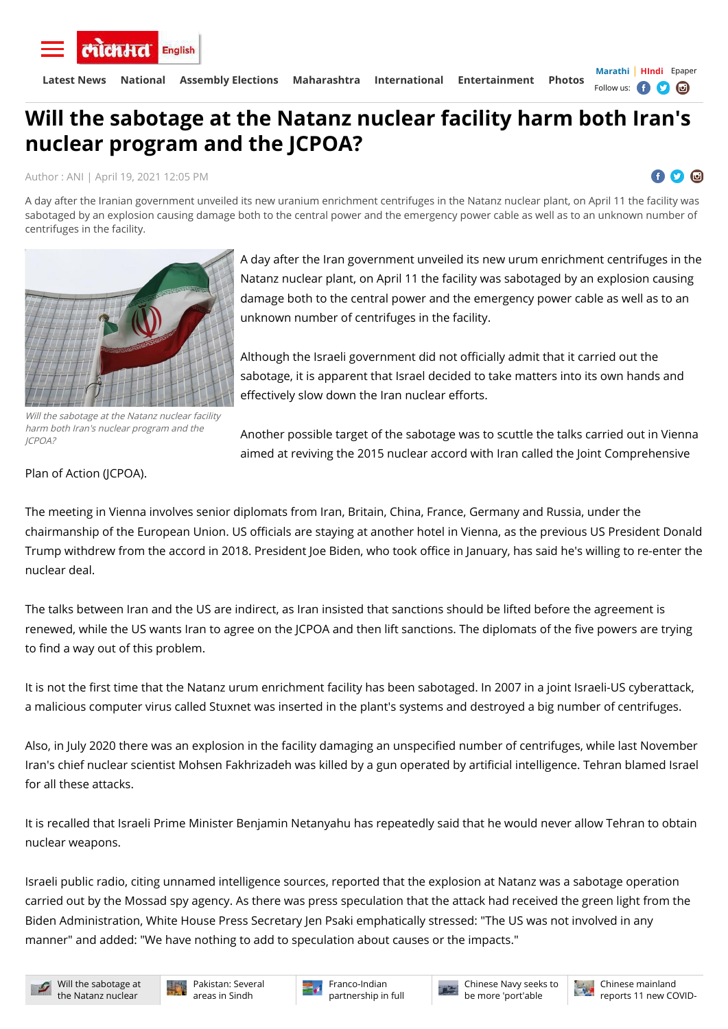Author : [ANI](https://english.lokmat.com/author/ani/) | April 19, 2021 12:05 PM

О ЮÌ

Will the sabotage at the Natanz nuclear facility harm both Iran's nuclear program and the JCPOA?

## **Will the sabotage at the Natanz nuclear facility harm both Iran's nuclear program and the JCPOA?**

A day after the Iranian government unveiled its new uranium enrichment centrifuges in the Natanz nuclear plant, on April 11 the facility was sabotaged by an explosion causing damage both to the central power and the emergency power cable as well as to an unknown number of centrifuges in the facility.



A day after the Iran government unveiled its new urum enrichment centrifuges in the Natanz nuclear plant, on April 11 the facility was sabotaged by an explosion causing damage both to the central power and the emergency power cable as well as to an unknown number of centrifuges in the facility.

Although the Israeli government did not officially admit that it carried out the sabotage, it is apparent that Israel decided to take matters into its own hands and effectively slow down the Iran nuclear efforts.

The talks between Iran and the US are indirect, as Iran insisted that sanctions should be lifted before the agreement is renewed, while the US wants Iran to agree on the JCPOA and then lift sanctions. The diplomats of the five powers are trying to find a way out of this problem.

It is not the first time that the Natanz urum enrichment facility has been sabotaged. In 2007 in a joint Israeli-US cyberattack, a malicious computer virus called Stuxnet was inserted in the plant's systems and destroyed a big number of centrifuges.

Also, in July 2020 there was an explosion in the facility damaging an unspecified number of centrifuges, while last November Iran's chief nuclear scientist Mohsen Fakhrizadeh was killed by a gun operated by artificial intelligence. Tehran blamed Israel

Another possible target of the sabotage was to scuttle the talks carried out in Vienna aimed at reviving the 2015 nuclear accord with Iran called the Joint Comprehensive

Plan of Action (JCPOA).

The meeting in Vienna involves senior diplomats from Iran, Britain, China, France, Germany and Russia, under the chairmanship of the European Union. US officials are staying at another hotel in Vienna, as the previous US President Donald Trump withdrew from the accord in 2018. President Joe Biden, who took office in January, has said he's willing to re-enter the nuclear deal.

**[Marathi](https://www.lokmat.com/)** | **[HIndi](https://www.lokmatnews.in/)** [Epaper](http://epaperlokmat.in/lokmattimes/) Follow us: **f D c** 



 $H_{\rm eff}$  is the sabotage at the sabotage at the Natan $\sigma$  facility harm both Iran's nuclear program and the JCPOA? **[Latest News](https://english.lokmat.com/latest-news/) [National](https://english.lokmat.com/national/) [Assembly Elections](https://english.lokmat.com/elections/assembly-elections-2021/) [Maharashtra](https://english.lokmat.com/maharashtra/) [International](https://english.lokmat.com/international/) [Entertainment](https://english.lokmat.com/entertainment/) [Photos](https://english.lokmat.com/photos/)**

It is recalled that Israeli Prime Minister Benjamin Netanyahu has repeatedly said that he would never allow Tehran to obtain nuclear weapons.

Israeli public radio, citing unnamed intelligence sources, reported that the explosion at Natanz was a sabotage operation carried out by the Mossad spy agency. As there was press speculation that the attack had received the green light from the Biden Administration, White House Press Secretary Jen Psaki emphatically stressed: "The US was not involved in any manner" and added: "We have nothing to add to speculation about causes or the impacts."